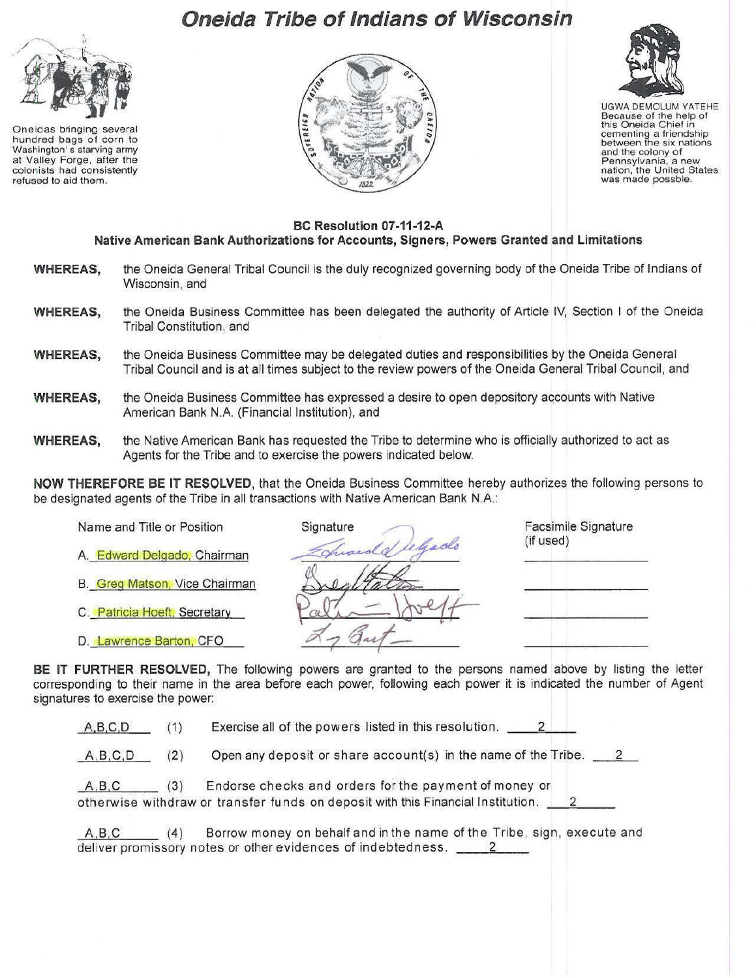## **Oneida Tribe of Indians of Wisconsin**



Oneidas bringing several hundred bags of corn to Washington' s starving army at Valley Forge, after the colonists had consistently refused to aid them.





UGWA DEMOLUM YATEHE Because of the help of this Oneida Chief in cementing a friendship between the six nations and the colony of Pennsylvania, a new nation, the United States was made possble.

## **BC Resolution 07-11-12-A Native American Bank Authorizations for Accounts, Signers, Powers Granted and Limitations**

- **WHEREAS,** the Oneida General Tribal Council is the duly recognized governing body of the Oneida Tribe of Indians of Wisconsin, and
- **WHEREAS,** the Oneida Business Committee has been delegated the authority of Article IV, Section I of the Oneida Tribal Constitution, and
- **WHEREAS,** the Oneida Business Committee may be delegated duties and responsibilities by the Oneida General Tribal Council and is at all times subject to the review powers of the Oneida General Tribal Council, and
- **WHEREAS.** the Oneida Business Committee has expressed a desire to open depository accounts with Native American Bank N.A. (Financial Institution), and
- **WHEREAS,** the Native American Bank has requested the Tribe to determine who is officially authorized to act as Agents for the Tribe and to exercise the powers indicated below.

**NOW THEREFORE BE IT RESOLVED,** that the Oneida Business Committee hereby authorizes the following persons to be designated agents of the Tribe in all transactions with Native American Bank N.A.:

- A. Edward Delgado, Chairman
- B. Greg Matson. Vice Chairman
- C. Patricia Hoeft. Secretary
- D. Lawrence Barton, CFO

| Name and Title or Position    | Signature     | Facsimile Signature<br>(if used) |
|-------------------------------|---------------|----------------------------------|
| A. Edward Delgado, Chairman   | Tuando lehado |                                  |
| B. Greg Matson, Vice Chairman |               |                                  |
| C. Patricia Hoeft, Secretary  |               |                                  |
| D. Lawrence Barton, CFO       |               |                                  |

**BE IT FURTHER RESOLVED,** The following powers are granted to the persons named above by listing the letter corresponding to their name in the area before each power, following each power it is indicated the number of Agent signatures to exercise the power:

A.B.C,D ( 1) Exercise all of the powers listed in this resolution.  $2$ 

\_A,B.C.D (2) Open any deposit or share account(s) in the name of the Tribe. 2

| A, B, C | (3) | Endorse checks and orders for the payment of money or                            |  |
|---------|-----|----------------------------------------------------------------------------------|--|
|         |     | otherwise withdraw or transfer funds on deposit with this Financial Institution. |  |

ABC (4) Borrow money on behalf and in the name of the Tribe, sign, execute and deliver promissory notes or other evidences of indebtedness. \_\_\_\_\_\_\_\_\_\_\_\_\_\_\_\_\_\_\_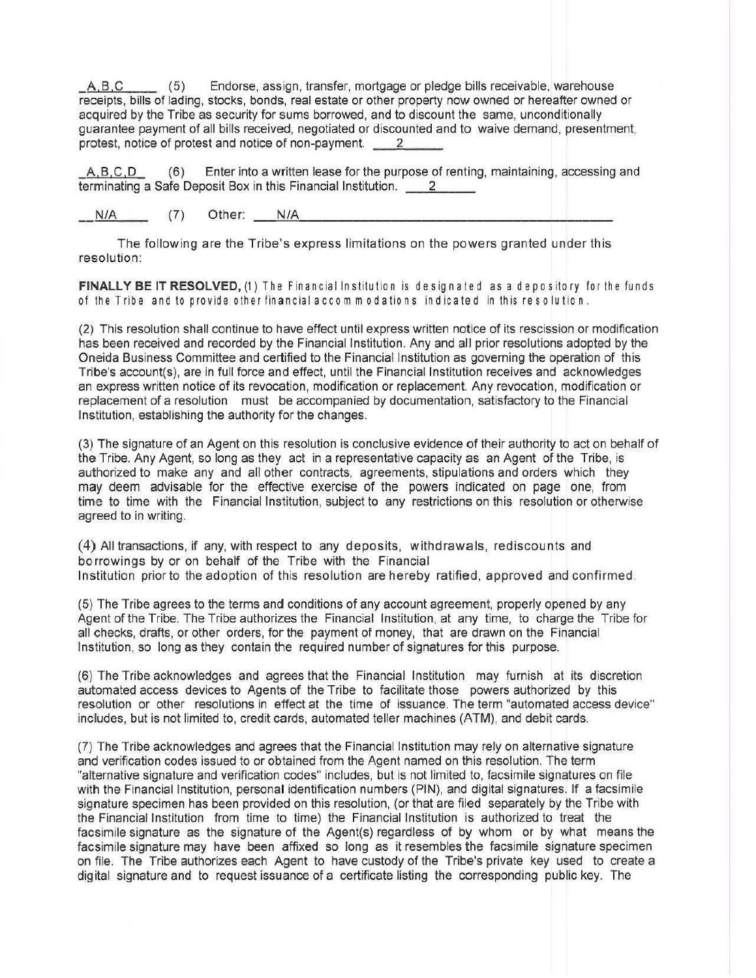$A, B, C$  (5) Endorse, assign, transfer, mortgage or pledge bills receivable, warehouse receipts, bills of lading, stocks, bonds, real estate or other property now owned or hereafter owned or acquired by the Tribe as security for sums borrowed, and to discount the same, unconditionally guarantee payment of all bills received, negotiated or discounted and to waive demand, presentment, protest, notice of protest and notice of non-payment. 2

A, B, C, D (6) Enter into a written lease for the purpose of renting, maintaining, accessing and terminating a Safe Deposit Box in this Financial Institution. 2

N/A (7) Other: N/A

The following are the Tribe's express limitations on the powers granted under this resolution:

FINALLY BE IT RESOLVED, (1) The Financial Institution is designated as a depository for the funds of the Tribe and to provide other financialaccom modations ind icated in this reso lution .

(2) This resolution shall continue to have effect until express written notice of its rescission or modification has been received and recorded by the Financial Institution. Any and all prior resolutions adopted by the Oneida Business Committee and certified to the Financial Institution as governing the operation of this Tribe's account(s), are in full force and effect, until the Financial Institution receives and acknowledges an express written notice of its revocation, modification or replacement. Any revocation, modification or replacement of a resolution must be accompanied by documentation, satisfactory to the Financial Institution, establishing the authority for the changes.

(3) The signature of an Agent on this resolution is conclusive evidence of their authority to act on behalf of the Tribe. Any Agent, so long as they act in a representative capacity as an Agent of the Tribe, is authorized to make any and all other contracts, agreements, stipulations and orders which they may deem advisable for the effective exercise of the powers indicated on page one, from time to time with the Financial Institution, subject to any restrictions on this resolution or otherwise agreed to in writing.

(4) All transactions, if any, with respect to any deposits, withdrawals, rediscounts and borrowings by or on behalf of the Tribe with the Financial Institution prior to the adoption of this resolution are hereby ratified, approved and confirmed.

(5) The Tribe agrees to the terms and conditions of any account agreement, properly opened by any Agent of the Tribe. The Tribe authorizes the Financial Institution, at any time, to charge the Tribe for all checks, drafts, or other orders, for the payment of money, that are drawn on the Financial Institution, so long as they contain the required number of signatures for this purpose.

(6) The Tribe acknowledges and agrees that the Financial Institution may furnish at its discretion automated access devices to Agents of the Tribe to facilitate those powers authorized by this resolution or other resolutions in effect at the time of issuance. The term "automated access device" includes, but is not limited to, credit cards, automated teller machines (ATM), and debit cards.

(7) The Tribe acknowledges and agrees that the Financial Institution may rely on alternative signature and verification codes issued to or obtained from the Agent named on this resolution. The term "alternative signature and verification codes" includes, but is not limited to, facsimile signatures on file with the Financial Institution, personal identification numbers (PIN), and digital signatures. If a facsimile signature specimen has been provided on this resolution, (or that are filed separately by the Tribe with the Financial Institution from time to time) the Financial Institution is authorized to treat the facsimile signature as the signature of the Agent(s) regardless of by whom or by what means the facsimile signature may have been affixed so long as it resembles the facsimile signature specimen on file. The Tribe authorizes each Agent to have custody of the Tribe's private key used to create a digital signature and to request issuance of a certificate listing the corresponding public key. The